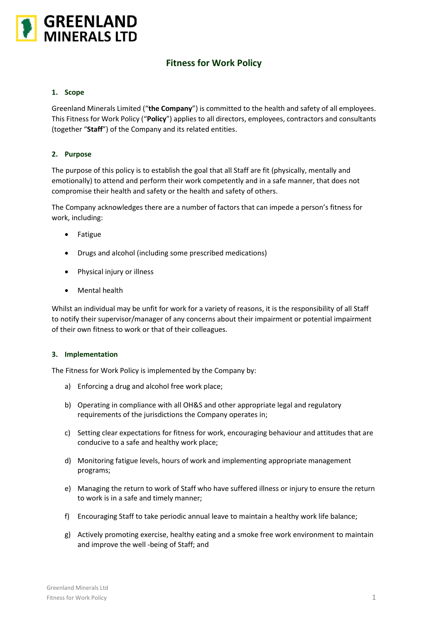

# **Fitness for Work Policy**

## **1. Scope**

Greenland Minerals Limited ("**the Company**") is committed to the health and safety of all employees. This Fitness for Work Policy ("**Policy**") applies to all directors, employees, contractors and consultants (together "**Staff**") of the Company and its related entities.

## **2. Purpose**

The purpose of this policy is to establish the goal that all Staff are fit (physically, mentally and emotionally) to attend and perform their work competently and in a safe manner, that does not compromise their health and safety or the health and safety of others.

The Company acknowledges there are a number of factors that can impede a person's fitness for work, including:

- Fatigue
- Drugs and alcohol (including some prescribed medications)
- Physical injury or illness
- Mental health

Whilst an individual may be unfit for work for a variety of reasons, it is the responsibility of all Staff to notify their supervisor/manager of any concerns about their impairment or potential impairment of their own fitness to work or that of their colleagues.

#### **3. Implementation**

The Fitness for Work Policy is implemented by the Company by:

- a) Enforcing a drug and alcohol free work place;
- b) Operating in compliance with all OH&S and other appropriate legal and regulatory requirements of the jurisdictions the Company operates in;
- c) Setting clear expectations for fitness for work, encouraging behaviour and attitudes that are conducive to a safe and healthy work place;
- d) Monitoring fatigue levels, hours of work and implementing appropriate management programs;
- e) Managing the return to work of Staff who have suffered illness or injury to ensure the return to work is in a safe and timely manner;
- f) Encouraging Staff to take periodic annual leave to maintain a healthy work life balance;
- g) Actively promoting exercise, healthy eating and a smoke free work environment to maintain and improve the well -being of Staff; and